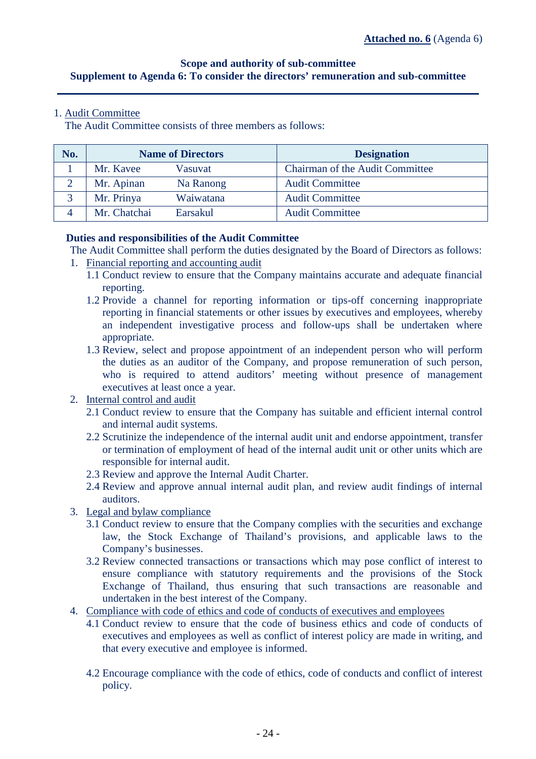# **Scope and authority of sub-committee Supplement to Agenda 6: To consider the directors' remuneration and sub-committee**

# 1. Audit Committee

The Audit Committee consists of three members as follows:

| No. | <b>Name of Directors</b> |           | <b>Designation</b>                     |
|-----|--------------------------|-----------|----------------------------------------|
|     | Mr. Kavee                | Vasuvat   | <b>Chairman of the Audit Committee</b> |
|     | Mr. Apinan               | Na Ranong | <b>Audit Committee</b>                 |
|     | Mr. Prinya               | Waiwatana | <b>Audit Committee</b>                 |
|     | Mr. Chatchai             | Earsakul  | <b>Audit Committee</b>                 |

## **Duties and responsibilities of the Audit Committee**

- The Audit Committee shall perform the duties designated by the Board of Directors as follows:
- 1. Financial reporting and accounting audit
	- 1.1 Conduct review to ensure that the Company maintains accurate and adequate financial reporting.
	- 1.2 Provide a channel for reporting information or tips-off concerning inappropriate reporting in financial statements or other issues by executives and employees, whereby an independent investigative process and follow-ups shall be undertaken where appropriate.
	- 1.3 Review, select and propose appointment of an independent person who will perform the duties as an auditor of the Company, and propose remuneration of such person, who is required to attend auditors' meeting without presence of management executives at least once a year.
- 2. Internal control and audit
	- 2.1 Conduct review to ensure that the Company has suitable and efficient internal control and internal audit systems.
	- 2.2 Scrutinize the independence of the internal audit unit and endorse appointment, transfer or termination of employment of head of the internal audit unit or other units which are responsible for internal audit.
	- 2.3 Review and approve the Internal Audit Charter.
	- 2.4 Review and approve annual internal audit plan, and review audit findings of internal auditors.
- 3. Legal and bylaw compliance
	- 3.1 Conduct review to ensure that the Company complies with the securities and exchange law, the Stock Exchange of Thailand's provisions, and applicable laws to the Company's businesses.
	- 3.2 Review connected transactions or transactions which may pose conflict of interest to ensure compliance with statutory requirements and the provisions of the Stock Exchange of Thailand, thus ensuring that such transactions are reasonable and undertaken in the best interest of the Company.
- 4. Compliance with code of ethics and code of conducts of executives and employees
	- 4.1 Conduct review to ensure that the code of business ethics and code of conducts of executives and employees as well as conflict of interest policy are made in writing, and that every executive and employee is informed.
	- 4.2 Encourage compliance with the code of ethics, code of conducts and conflict of interest policy.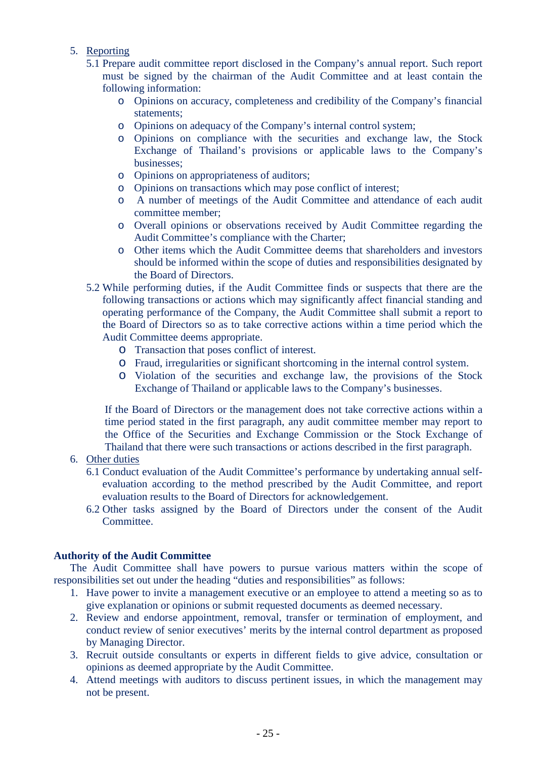- 5. Reporting
	- 5.1 Prepare audit committee report disclosed in the Company's annual report. Such report must be signed by the chairman of the Audit Committee and at least contain the following information:
		- o Opinions on accuracy, completeness and credibility of the Company's financial statements;
		- o Opinions on adequacy of the Company's internal control system;
		- o Opinions on compliance with the securities and exchange law, the Stock Exchange of Thailand's provisions or applicable laws to the Company's businesses;
		- o Opinions on appropriateness of auditors;
		- o Opinions on transactions which may pose conflict of interest;
		- o A number of meetings of the Audit Committee and attendance of each audit committee member;
		- o Overall opinions or observations received by Audit Committee regarding the Audit Committee's compliance with the Charter;
		- o Other items which the Audit Committee deems that shareholders and investors should be informed within the scope of duties and responsibilities designated by the Board of Directors.
	- 5.2 While performing duties, if the Audit Committee finds or suspects that there are the following transactions or actions which may significantly affect financial standing and operating performance of the Company, the Audit Committee shall submit a report to the Board of Directors so as to take corrective actions within a time period which the Audit Committee deems appropriate.
		- o Transaction that poses conflict of interest.
		- o Fraud, irregularities or significant shortcoming in the internal control system.
		- o Violation of the securities and exchange law, the provisions of the Stock Exchange of Thailand or applicable laws to the Company's businesses.

If the Board of Directors or the management does not take corrective actions within a time period stated in the first paragraph, any audit committee member may report to the Office of the Securities and Exchange Commission or the Stock Exchange of Thailand that there were such transactions or actions described in the first paragraph.

- 6. Other duties
	- 6.1 Conduct evaluation of the Audit Committee's performance by undertaking annual selfevaluation according to the method prescribed by the Audit Committee, and report evaluation results to the Board of Directors for acknowledgement.
	- 6.2 Other tasks assigned by the Board of Directors under the consent of the Audit Committee.

#### **Authority of the Audit Committee**

The Audit Committee shall have powers to pursue various matters within the scope of responsibilities set out under the heading "duties and responsibilities" as follows:

- 1. Have power to invite a management executive or an employee to attend a meeting so as to give explanation or opinions or submit requested documents as deemed necessary.
- 2. Review and endorse appointment, removal, transfer or termination of employment, and conduct review of senior executives' merits by the internal control department as proposed by Managing Director.
- 3. Recruit outside consultants or experts in different fields to give advice, consultation or opinions as deemed appropriate by the Audit Committee.
- 4. Attend meetings with auditors to discuss pertinent issues, in which the management may not be present.